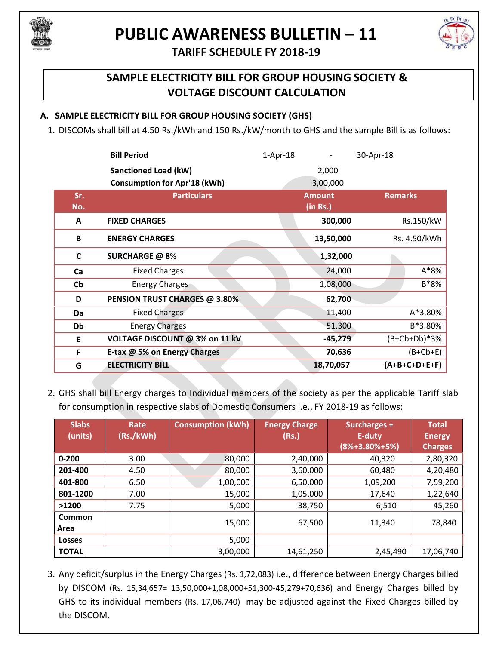

# **PUBLIC AWARENESS BULLETIN – 11**



## **TARIFF SCHEDULE FY 2018-19**

## **SAMPLE ELECTRICITY BILL FOR GROUP HOUSING SOCIETY & VOLTAGE DISCOUNT CALCULATION**

#### **A. SAMPLE ELECTRICITY BILL FOR GROUP HOUSING SOCIETY (GHS)**

1. DISCOMs shall bill at 4.50 Rs./kWh and 150 Rs./kW/month to GHS and the sample Bill is as follows:

|                        | <b>Bill Period</b>                  | $1-Apr-18$ |                           | 30-Apr-18      |                 |
|------------------------|-------------------------------------|------------|---------------------------|----------------|-----------------|
|                        | <b>Sanctioned Load (kW)</b>         |            | 2,000                     |                |                 |
|                        | <b>Consumption for Apr'18 (kWh)</b> |            | 3,00,000                  |                |                 |
| Sr.<br>No.             | <b>Particulars</b>                  |            | <b>Amount</b><br>(in Rs.) | <b>Remarks</b> |                 |
| A                      | <b>FIXED CHARGES</b>                |            | 300,000                   |                | Rs.150/kW       |
| B                      | <b>ENERGY CHARGES</b>               |            | 13,50,000                 | Rs. 4.50/kWh   |                 |
| $\mathsf{C}$           | <b>SURCHARGE @ 8%</b>               |            | 1,32,000                  |                |                 |
| Ca                     | <b>Fixed Charges</b>                |            | 24,000                    |                | $A*8%$          |
| $\mathsf{C}\mathsf{b}$ | <b>Energy Charges</b>               |            | 1,08,000                  |                | B*8%            |
| D                      | PENSION TRUST CHARGES @ 3.80%       |            | 62,700                    |                |                 |
| Da                     | <b>Fixed Charges</b>                |            | 11,400                    |                | A*3.80%         |
| Db                     | <b>Energy Charges</b>               |            | 51,300                    | B*3.80%        |                 |
| E                      | VOLTAGE DISCOUNT @ 3% on 11 kV      |            | $-45,279$                 | $(B+Cb+Db)*3%$ |                 |
| F                      | E-tax @ 5% on Energy Charges        |            | 70,636                    | $(B+Cb+E)$     |                 |
| G                      | <b>ELECTRICITY BILL</b>             |            | 18,70,057                 |                | $(A+B+C+D+E+F)$ |

2. GHS shall bill Energy charges to Individual members of the society as per the applicable Tariff slab for consumption in respective slabs of Domestic Consumers i.e., FY 2018-19 as follows:

| <b>Slabs</b><br>(units) | Rate<br>(Rs./kWh) | <b>Consumption (kWh)</b> | <b>Energy Charge</b><br>(Rs.) | Surcharges +<br>E-duty<br>$(8% + 3.80% + 5%)$ | <b>Total</b><br><b>Energy</b><br><b>Charges</b> |
|-------------------------|-------------------|--------------------------|-------------------------------|-----------------------------------------------|-------------------------------------------------|
| $0 - 200$               | 3.00              | 80,000                   | 2,40,000                      | 40,320                                        | 2,80,320                                        |
| 201-400                 | 4.50              | 80,000                   | 3,60,000                      | 60,480                                        | 4,20,480                                        |
| 401-800                 | 6.50              | 1,00,000                 | 6,50,000                      | 1,09,200                                      | 7,59,200                                        |
| 801-1200                | 7.00              | 15,000                   | 1,05,000                      | 17,640                                        | 1,22,640                                        |
| >1200                   | 7.75              | 5,000                    | 38,750                        | 6,510                                         | 45,260                                          |
| <b>Common</b><br>Area   |                   | 15,000                   | 67,500                        | 11,340                                        | 78,840                                          |
| <b>Losses</b>           |                   | 5,000                    |                               |                                               |                                                 |
| <b>TOTAL</b>            |                   | 3,00,000                 | 14,61,250                     | 2,45,490                                      | 17,06,740                                       |

3. Any deficit/surplus in the Energy Charges (Rs. 1,72,083) i.e., difference between Energy Charges billed by DISCOM (Rs. 15,34,657= 13,50,000+1,08,000+51,300-45,279+70,636) and Energy Charges billed by GHS to its individual members (Rs. 17,06,740) may be adjusted against the Fixed Charges billed by the DISCOM.